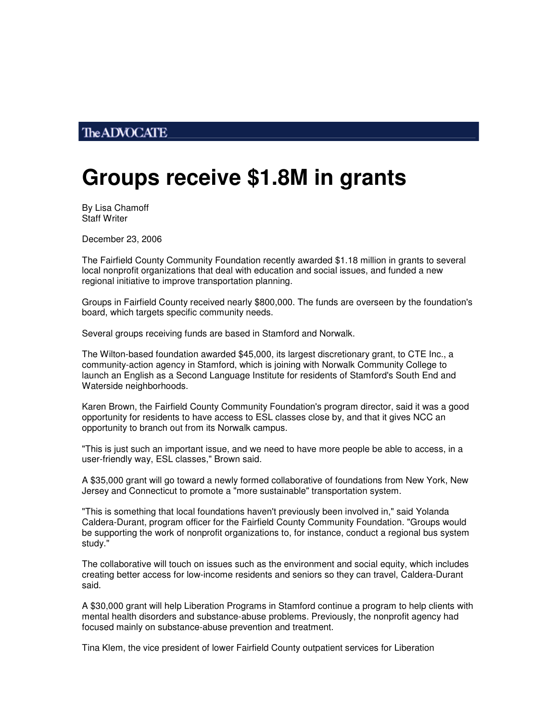## **The ADVOCATE**

## **Groups receive \$1.8M in grants**

By Lisa Chamoff Staff Writer

December 23, 2006

The Fairfield County Community Foundation recently awarded \$1.18 million in grants to several local nonprofit organizations that deal with education and social issues, and funded a new regional initiative to improve transportation planning.

Groups in Fairfield County received nearly \$800,000. The funds are overseen by the foundation's board, which targets specific community needs.

Several groups receiving funds are based in Stamford and Norwalk.

The Wilton-based foundation awarded \$45,000, its largest discretionary grant, to CTE Inc., a community-action agency in Stamford, which is joining with Norwalk Community College to launch an English as a Second Language Institute for residents of Stamford's South End and Waterside neighborhoods.

Karen Brown, the Fairfield County Community Foundation's program director, said it was a good opportunity for residents to have access to ESL classes close by, and that it gives NCC an opportunity to branch out from its Norwalk campus.

"This is just such an important issue, and we need to have more people be able to access, in a user-friendly way, ESL classes," Brown said.

A \$35,000 grant will go toward a newly formed collaborative of foundations from New York, New Jersey and Connecticut to promote a "more sustainable" transportation system.

"This is something that local foundations haven't previously been involved in," said Yolanda Caldera-Durant, program officer for the Fairfield County Community Foundation. "Groups would be supporting the work of nonprofit organizations to, for instance, conduct a regional bus system study."

The collaborative will touch on issues such as the environment and social equity, which includes creating better access for low-income residents and seniors so they can travel, Caldera-Durant said.

A \$30,000 grant will help Liberation Programs in Stamford continue a program to help clients with mental health disorders and substance-abuse problems. Previously, the nonprofit agency had focused mainly on substance-abuse prevention and treatment.

Tina Klem, the vice president of lower Fairfield County outpatient services for Liberation